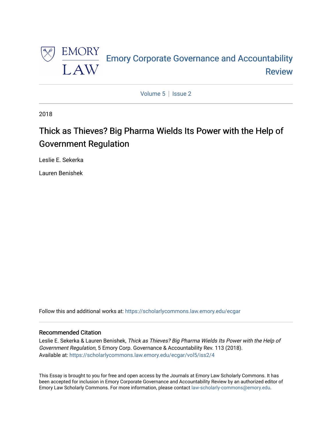

[Volume 5](https://scholarlycommons.law.emory.edu/ecgar/vol5) | Issue 2

2018

# Thick as Thieves? Big Pharma Wields Its Power with the Help of Government Regulation

Leslie E. Sekerka

Lauren Benishek

Follow this and additional works at: [https://scholarlycommons.law.emory.edu/ecgar](https://scholarlycommons.law.emory.edu/ecgar?utm_source=scholarlycommons.law.emory.edu%2Fecgar%2Fvol5%2Fiss2%2F4&utm_medium=PDF&utm_campaign=PDFCoverPages) 

# Recommended Citation

Leslie E. Sekerka & Lauren Benishek, Thick as Thieves? Big Pharma Wields Its Power with the Help of Government Regulation, 5 Emory Corp. Governance & Accountability Rev. 113 (2018). Available at: [https://scholarlycommons.law.emory.edu/ecgar/vol5/iss2/4](https://scholarlycommons.law.emory.edu/ecgar/vol5/iss2/4?utm_source=scholarlycommons.law.emory.edu%2Fecgar%2Fvol5%2Fiss2%2F4&utm_medium=PDF&utm_campaign=PDFCoverPages) 

This Essay is brought to you for free and open access by the Journals at Emory Law Scholarly Commons. It has been accepted for inclusion in Emory Corporate Governance and Accountability Review by an authorized editor of Emory Law Scholarly Commons. For more information, please contact [law-scholarly-commons@emory.edu](mailto:law-scholarly-commons@emory.edu).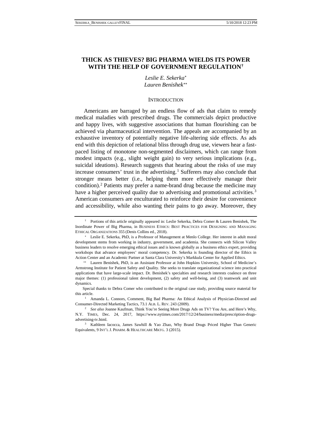# **THICK AS THIEVES? BIG PHARMA WIELDS ITS POWER WITH THE HELP OF GOVERNMENT REGULATION[†](#page-1-0)**

*Leslie E. Sekerka*[∗](#page-1-1) *Lauren Benishek*[∗∗](#page-1-2)

#### **INTRODUCTION**

Americans are barraged by an endless flow of ads that claim to remedy medical maladies with prescribed drugs. The commercials depict productive and happy lives, with suggestive associations that human flourishing can be achieved via pharmaceutical intervention. The appeals are accompanied by an exhaustive inventory of potentially negative life-altering side effects. As ads end with this depiction of relational bliss through drug use, viewers hear a fastpaced listing of monotone non-segmented disclaimers, which can range from modest impacts (e.g., slight weight gain) to very serious implications (e.g., suicidal ideations). Research suggests that hearing about the risks of use may increase consumers' trust in the advertising.<sup>[1](#page-1-3)</sup> Sufferers may also conclude that stronger means better (i.e., helping them more effectively manage their condition).[2](#page-1-4) Patients may prefer a name-brand drug because the medicine may have a higher perceived quality due to advertising and promotional activities.<sup>[3](#page-1-5)</sup> American consumers are enculturated to reinforce their desire for convenience and accessibility, while also wanting their pains to go away. Moreover, they

<span id="page-1-0"></span><sup>†</sup> Portions of this article originally appeared in: Leslie Sekerka, Debra Comer & Lauren Benishek, The Inordinate Power of Big Pharma, in BUSINESS ETHICS: BEST PRACTICES FOR DESIGNING AND MANAGING ETHICAL ORGANIZATIONS 355 (Denis Collins ed., 2018).

<span id="page-1-1"></span><sup>∗</sup> Leslie E. Sekerka, PhD, is a Professor of Management at Menlo College. Her interest in adult moral development stems from working in industry, government, and academia. She connects with Silicon Valley business leaders to resolve emerging ethical issues and is known globally as a business ethics expert, providing workshops that advance employees' moral competency. Dr. Sekerka is founding director of the Ethics in Action Center and an Academic Partner at Santa Clara University's Markkula Center for Applied Ethics.

<span id="page-1-2"></span><sup>∗∗</sup> Lauren Benishek, PhD, is an Assistant Professor at John Hopkins University, School of Medicine's Armstrong Institute for Patient Safety and Quality. She seeks to translate organizational science into practical applications that have large-scale impact. Dr. Benishek's specialties and research interests coalesce on three major themes: (1) professional talent development, (2) safety and well-being, and (3) teamwork and unit dynamics.

Special thanks to Debra Comer who contributed to the original case study, providing source material for this article.

<span id="page-1-3"></span><sup>&</sup>lt;sup>1</sup> Amanda L. Connors, Comment, Big Bad Pharma: An Ethical Analysis of Physician-Directed and Consumer-Directed Marketing Tactics, 73.1 ALB. L. REV. 243 (2009). 2 *See also* Joanne Kaufman, Think You're Seeing More Drugs Ads on TV? You Are, and Here's Why,

<span id="page-1-4"></span>N.Y. TIMES, Dec. 24, 2017, https://www.nytimes.com/2017/12/24/business/media/prescription-drugsadvertising-tv.html. 3 Kathleen Iacocca, James Sawhill & Yao Zhao, Why Brand Drugs Priced Higher Than Generic

<span id="page-1-5"></span>Equivalents, 9 INT'L J. PHARM. & HEALTHCARE MKTG. 3 (2015).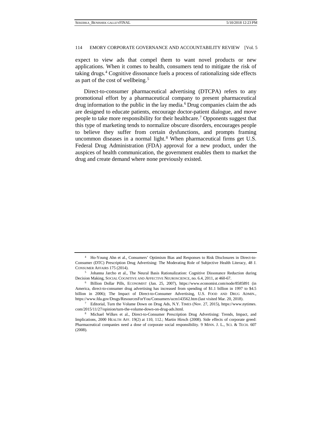expect to view ads that compel them to want novel products or new applications. When it comes to health, consumers tend to mitigate the risk of taking drugs[.4](#page-2-0) Cognitive dissonance fuels a process of rationalizing side effects as part of the cost of wellbeing.[5](#page-2-1)

Direct-to-consumer pharmaceutical advertising (DTCPA) refers to any promotional effort by a pharmaceutical company to present pharmaceutical drug information to the public in the lay media.<sup>[6](#page-2-2)</sup> Drug companies claim the ads are designed to educate patients, encourage doctor-patient dialogue, and move people to take more responsibility for their healthcare.[7](#page-2-3) Opponents suggest that this type of marketing tends to normalize obscure disorders, encourages people to believe they suffer from certain dysfunctions, and prompts framing uncommon diseases in a normal light. $8$  When pharmaceutical firms get U.S. Federal Drug Administration (FDA) approval for a new product, under the auspices of health communication, the government enables them to market the drug and create demand where none previously existed.

<span id="page-2-0"></span><sup>4</sup> Ho-Young Ahn et al., Consumers' Optimism Bias and Responses to Risk Disclosures in Direct-to-Consumer (DTC) Prescription Drug Advertising: The Moderating Role of Subjective Health Literacy, 48 J. CONSUMER AFFAIRS 175 (2014).

<span id="page-2-1"></span><sup>&</sup>lt;sup>5</sup> Johanna Jarcho et al., The Neural Basis Rationalization: Cognitive Dissonance Reduction during Decision Making, SOCIAL COGNITIVE AND AFFECTIVE NEUROSCIENCE, no. 6.4, 2011, at 460-67.

<span id="page-2-2"></span><sup>6</sup> Billion Dollar Pills, ECONOMIST (Jan. 25, 2007), https://www.economist.com/node/8585891 (in America, direct-to-consumer drug advertising has increased from spending of \$1.1 billion in 1997 to \$4.5 billion in 2006); The Impact of Direct-to-Consumer Advertising, U.S. FOOD AND DRUG ADMIN., https://www.fda.gov/Drugs/ResourcesForYou/Consumers/ucm143562.htm (last visited Mar. 20, 2018).

<span id="page-2-3"></span><sup>7</sup> Editorial, Turn the Volume Down on Drug Ads, N.Y. TIMES (Nov. 27, 2015), https://www.nytimes. com/2015/11/27/opinion/turn-the-volume-down-on-drug-ads.html. 8 Michael Wilkes et al., Direct-to-Consumer Prescription Drug Advertising: Trends, Impact, and

<span id="page-2-4"></span>Implications, 2000 HEALTH AFF. 19(2) at 110, 112.; Martin Hirsch (2008). Side effects of corporate greed: Pharmaceutical companies need a dose of corporate social responsibility. 9 MINN. J. L., SCI. & TECH. 607 (2008).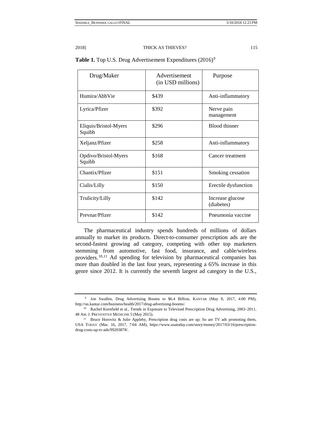| Drug/Maker                      | Advertisement<br>(in USD millions) | Purpose                        |
|---------------------------------|------------------------------------|--------------------------------|
| Humira/AbbVie                   | \$439                              | Anti-inflammatory              |
| Lyrica/Pfizer                   | \$392                              | Nerve pain<br>management       |
| Eliquis/Bristol-Myers<br>Squibb | \$296                              | Blood thinner                  |
| Xeljanz/Pfizer                  | \$258                              | Anti-inflammatory              |
| Opdivo/Bristol-Myers<br>Squibb  | \$168                              | Cancer treatment               |
| Chantix/Pfizer                  | \$151                              | Smoking cessation              |
| Cialis/Lilly                    | \$150                              | Erectile dysfunction           |
| Trulicity/Lilly                 | \$142                              | Increase glucose<br>(diabetes) |
| Prevnar/Pfizer                  | \$142                              | Pneumonia vaccine              |

|  | Table 1. Top U.S. Drug Advertisement Expenditures (2016) <sup>9</sup> |  |
|--|-----------------------------------------------------------------------|--|
|  |                                                                       |  |

The pharmaceutical industry spends hundreds of millions of dollars annually to market its products. Direct-to-consumer prescription ads are the second-fastest growing ad category, competing with other top marketers stemming from automotive, fast food, insurance, and cable/wireless providers.[10,](#page-3-1)[11](#page-3-2) Ad spending for television by pharmaceutical companies has more than doubled in the last four years, representing a 65% increase in this genre since 2012. It is currently the seventh largest ad category in the U.S.,

<span id="page-3-0"></span><sup>9</sup> Jon Swallen, Drug Advertising Booms to \$6.4 Billion, KANTAR (May 8, 2017, 4:00 PM), http://us.kantar.com/business/health/2017/drug-advertising-booms/.

<span id="page-3-1"></span><sup>&</sup>lt;sup>10</sup> Rachel Kornfield et al., Trends in Exposure to Televised Prescription Drug Advertising, 2003–2011, 48 AM.J. PREVENTIVE MEDICINE 5 (May 2015).

<span id="page-3-2"></span><sup>&</sup>lt;sup>11</sup> Bruce Horovitz & Julie Appleby, Prescription drug costs are up; So are TV ads promoting them, USA TODAY (Mar. 16, 2017, 7:04 AM), https://www.usatoday.com/story/money/2017/03/16/prescriptiondrug-costs-up-tv-ads/99203878/.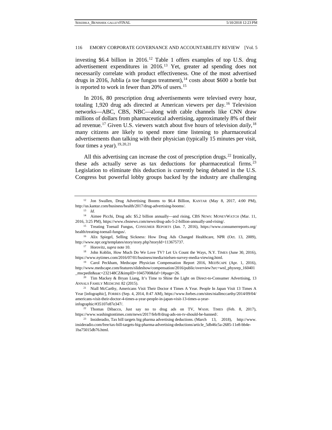investing \$6.4 billion in 2016.<sup>[12](#page-4-0)</sup> Table 1 offers examples of top U.S. drug advertisement expenditures in 2016.[13](#page-4-1) Yet, greater ad spending does not necessarily correlate with product effectiveness. One of the most advertised drugs in 2016, Jublia (a toe fungus treatment),  $^{14}$  $^{14}$  $^{14}$  costs about \$600 a bottle but is reported to work in fewer than 20% of users.<sup>[15](#page-4-3)</sup>

In 2016, 80 prescription drug advertisements were televised every hour, totaling 1,920 drug ads directed at American viewers per day.[16](#page-4-4) Television networks—ABC, CBS, NBC—along with cable channels like CNN draw millions of dollars from pharmaceutical advertising, approximately 8% of their ad revenue[.17](#page-4-5) Given U.S. viewers watch about five hours of television *daily*, [18](#page-4-6) many citizens are likely to spend more time listening to pharmaceutical advertisements than talking with their physician (typically 15 minutes per visit, four times a year).  $19,20,21$  $19,20,21$  $19,20,21$  $19,20,21$ 

All this advertising can increase the cost of prescription drugs.<sup>[22](#page-4-10)</sup> Ironically, these ads actually serve as tax deductions for pharmaceutical firms.<sup>[23](#page-4-11)</sup> Legislation to eliminate this deduction is currently being debated in the U.S. Congress but powerful lobby groups backed by the industry are challenging

<sup>17</sup> Horovitz, *supra* note 10.

<span id="page-4-6"></span><span id="page-4-5"></span><sup>18</sup> John Koblin, How Much Do We Love TV? Let Us Count the Ways, N.Y. TIMES (June 30, 2016), https://www.nytimes.com/2016/07/01/business/media/nielsen-survey-media-viewing.html.

<span id="page-4-0"></span><sup>&</sup>lt;sup>12</sup> Jon Swallen, Drug Advertising Booms to \$6.4 Billion, KANTAR (May 8, 2017, 4:00 PM), http://us.kantar.com/business/health/2017/drug-advertising-booms/.

<sup>13</sup> *Id.*

<span id="page-4-2"></span><span id="page-4-1"></span><sup>&</sup>lt;sup>14</sup> Aimee Picchi, Drug ads: \$5.2 billion annually—and rising, CBS NEWS: MONEYWATCH (Mar. 11, 2016, 3:25 PM), https://www.cbsnews.com/news/drug-ads-5-2-billion-annually-and-rising/.

<span id="page-4-3"></span><sup>15</sup> Treating Toenail Fungus, CONSUMER REPORTS (Jan. 7, 2016), https://www.consumerreports.org/ health/treating-toenail-fungus/.

<span id="page-4-4"></span><sup>&</sup>lt;sup>16</sup> Alix Spiegel, Selling Sickness: How Drug Ads Changed Healthcare, NPR (Oct. 13, 2009), http://www.npr.org/templates/story/story.php?storyId=113675737.

<span id="page-4-7"></span><sup>19</sup> Carol Peckham, Medscape Physician Compensation Report 2016, MEDSCAPE (Apr. 1, 2016), http://www.medscape.com/features/slideshow/compensation/2016/public/overview?src=wnl\_physrep\_160401 \_mscpedit&uac=232148CZ&impID=1045700&faf=1#page=26.

<span id="page-4-8"></span><sup>&</sup>lt;sup>20</sup> Tim Mackey & Bryan Liang, It's Time to Shine the Light on Direct-to-Consumer Advertising, 13 ANNALS FAMILY MEDICINE 82 (2015).

<span id="page-4-9"></span><sup>&</sup>lt;sup>21</sup> Niall McCarthy, Americans Visit Their Doctor 4 Times A Year. People In Japan Visit 13 Times A Year [infographic], FORBES (Sep. 4, 2014, 8:47 AM), https://www.forbes.com/sites/niallmccarthy/2014/09/04/ americans-visit-their-doctor-4-times-a-year-people-in-japan-visit-13-times-a-yearinfographic/#35107e87e347/.

<span id="page-4-10"></span><sup>22</sup> Thomas Dibacco, Just say no to drug ads on TV, WASH. TIMES (Feb. 8, 2017), https://www.washingtontimes.com/news/2017/feb/8/drug-ads-on-tv-should-be-banned/.

<span id="page-4-11"></span><sup>23</sup> Insideradio, Tax bill targets big pharma advertising deductions. (March 13, 2018), http://www. insideradio.com/free/tax-bill-targets-big-pharma-advertising-deductions/article\_5db46c5a-2685-11e8-bb4e-1ba75015db76.html.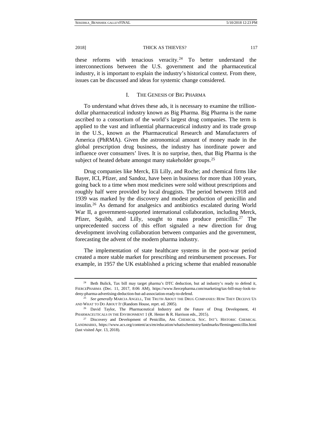these reforms with tenacious veracity.<sup>[24](#page-5-0)</sup> To better understand the interconnections between the U.S. government and the pharmaceutical industry, it is important to explain the industry's historical context. From there, issues can be discussed and ideas for systemic change considered.

## I. THE GENESIS OF BIG PHARMA

To understand what drives these ads, it is necessary to examine the trilliondollar pharmaceutical industry known as Big Pharma. Big Pharma is the name ascribed to a consortium of the world's largest drug companies. The term is applied to the vast and influential pharmaceutical industry and its trade group in the U.S., known as the Pharmaceutical Research and Manufacturers of America (PhRMA). Given the astronomical amount of money made in the global prescription drug business, the industry has inordinate power and influence over consumers' lives. It is no surprise, then, that Big Pharma is the subject of heated debate amongst many stakeholder groups.<sup>[25](#page-5-1)</sup>

Drug companies like Merck, Eli Lilly, and Roche; and chemical firms like Bayer, ICI, Pfizer, and Sandoz, have been in business for more than 100 years, going back to a time when most medicines were sold without prescriptions and roughly half were provided by local druggists. The period between 1918 and 1939 was marked by the discovery and modest production of penicillin and insulin.[26](#page-5-2) As demand for analgesics and antibiotics escalated during World War II, a government-supported international collaboration, including Merck, Pfizer, Squibb, and Lilly, sought to mass produce penicillin.<sup>[27](#page-5-3)</sup> The unprecedented success of this effort signaled a new direction for drug development involving collaboration between companies and the government, forecasting the advent of the modern pharma industry.

The implementation of state healthcare systems in the post-war period created a more stable market for prescribing and reimbursement processes. For example, in 1957 the UK established a pricing scheme that enabled reasonable

<span id="page-5-0"></span><sup>&</sup>lt;sup>24</sup> Beth Bulick, Tax bill may target pharma's DTC deduction, but ad industry's ready to defend it, FIERCEPHARMA (Dec. 11, 2017, 8:06 AM), https://www.fiercepharma.com/marketing/tax-bill-may-look-todeny-pharma-advertising-deduction-but-ad-association-ready-to-defend.

<span id="page-5-1"></span><sup>25</sup> *See generally* MARCIA ANGELL, THE TRUTH ABOUT THE DRUG COMPANIES: HOW THEY DECEIVE US AND WHAT TO DO ABOUT IT (Random House, reprt. ed. 2005).

<span id="page-5-2"></span><sup>&</sup>lt;sup>26</sup> David Taylor, The Pharmaceutical Industry and the Future of Drug Development, 41 PHARMACEUTICALS IN THE ENVIRONMENT 1 (R. Hester & R. Harrison eds., 2015).<br><sup>27</sup> Discovery and Development of Penicillin, AM. CHEMICAL SOC. INT'L HISTORIC CHEMICAL

<span id="page-5-3"></span>LANDMARKS, https://www.acs.org/content/acs/en/education/whatischemistry/landmarks/flemingpenicillin.html (last visited Apr. 13, 2018).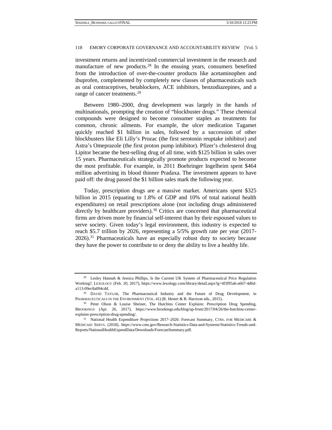investment returns and incentivized commercial investment in the research and manufacture of new products.<sup>[28](#page-6-0)</sup> In the ensuing years, consumers benefited from the introduction of over-the-counter products like acetaminophen and ibuprofen, complemented by completely new classes of pharmaceuticals such as oral contraceptives, betablockers, ACE inhibitors, benzodiazepines, and a range of cancer treatments.<sup>[29](#page-6-1)</sup>

Between 1980–2000, drug development was largely in the hands of multinationals, prompting the creation of "blockbuster drugs." These chemical compounds were designed to become consumer staples as treatments for common, chronic ailments. For example, the ulcer medication Tagamet quickly reached \$1 billion in sales, followed by a succession of other blockbusters like Eli Lilly's Prozac (the first serotonin reuptake inhibitor) and Astra's Omeprazole (the first proton pump inhibitor). Pfizer's cholesterol drug Lipitor became the best-selling drug of all time, with \$125 billion in sales over 15 years. Pharmaceuticals strategically promote products expected to become the most profitable. For example, in 2011 Boehringer Ingelheim spent \$464 million advertising its blood thinner Pradaxa. The investment appears to have paid off: the drug passed the \$1 billion sales mark the following year.

Today, prescription drugs are a massive market. Americans spent \$325 billion in 2015 (equating to 1.8% of GDP and 10% of total national health expenditures) on retail prescriptions alone (not including drugs administered directly by healthcare providers).<sup>[30](#page-6-2)</sup> Critics are concerned that pharmaceutical firms are driven more by financial self-interest than by their espoused values to serve society. Given today's legal environment, this industry is expected to reach \$5.7 trillion by 2026, representing a 5/5% growth rate per year (2017- 2026).[31](#page-6-3) Pharmaceuticals have an especially robust duty to society because they have the power to contribute to or deny the ability to live a healthy life.

<span id="page-6-0"></span><sup>&</sup>lt;sup>28</sup> Lesley Hannah & Jessica Phillips, Is the Current UK System of Pharmaceutical Price Regulation Working?, LEXOLOGY (Feb. 20, 2017), https://www.lexology.com/library/detail.aspx?g=4f3f95a6-a667-4d6da113-09ec8a094cdd.<br><sup>29</sup> DAVID TAYLOR, The Pharmaceutical Industry and the Future of Drug Development, in

<span id="page-6-1"></span>PHARMACEUTICALS IN THE ENVIRONMENT (VOL. 41) (R. Hester & R. Harrison eds., 2015).

<span id="page-6-2"></span><sup>&</sup>lt;sup>30</sup> Peter Olson & Louise Sheiner, The Hutchins Center Explains: Prescription Drug Spending, BROOKINGS (Apr. 26, 2017), https://www.brookings.edu/blog/up-front/2017/04/26/the-hutchins-centerexplains-prescription-drug-spending/.

<span id="page-6-3"></span><sup>&</sup>lt;sup>31</sup> National Health Expenditure Projections 2017–2026: Forecast Summary, CTRS. FOR MEDICARE & MEDICAID SERVS. (2018), https://www.cms.gov/Research-Statistics-Data-and-Systems/Statistics-Trends-and-Reports/NationalHealthExpendData/Downloads/ForecastSummary.pdf.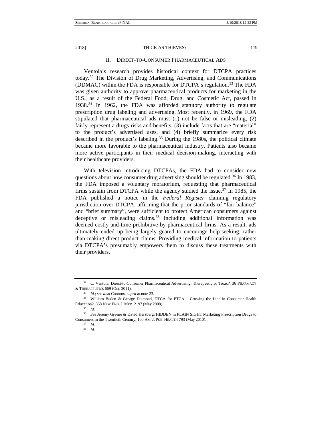#### II. DIRECT-TO-CONSUMER PHARMACEUTICAL ADS

Ventola's research provides historical context for DTCPA practices today.[32](#page-7-0) The Division of Drug Marketing, Advertising, and Communications (DDMAC) within the FDA is responsible for DTCPA's regulation.<sup>[33](#page-7-1)</sup> The FDA was given authority to approve pharmaceutical products for marketing in the U.S., as a result of the Federal Food, Drug, and Cosmetic Act, passed in 1938.<sup>[34](#page-7-2)</sup> In 1962, the FDA was afforded statutory authority to regulate prescription drug labeling and advertising. Most recently, in 1969, the FDA stipulated that pharmaceutical ads must (1) not be false or misleading, (2) fairly represent a drugs risks and benefits, (3) include facts that are "material" to the product's advertised uses, and (4) briefly summarize every risk described in the product's labeling.<sup>[35](#page-7-3)</sup> During the 1980s, the political climate became more favorable to the pharmaceutical industry. Patients also became more active participants in their medical decision-making, interacting with their healthcare providers.

With television introducing DTCPAs, the FDA had to consider new questions about how consumer drug advertising should be regulated.<sup>[36](#page-7-4)</sup> In 1983, the FDA imposed a voluntary moratorium, requesting that pharmaceutical firms sustain from DTCPA while the agency studied the issue. $37$  In 1985, the FDA published a notice in the *Federal Register* claiming regulatory jurisdiction over DTCPA, affirming that the prior standards of "fair balance" and "brief summary", were sufficient to protect American consumers against deceptive or misleading claims.<sup>[38](#page-7-6)</sup> Including additional information was deemed costly and time prohibitive by pharmaceutical firms. As a result, ads ultimately ended up being largely geared to encourage help-seeking, rather than making direct product claims. Providing medical information to patients via DTCPA's presumably empowers them to discuss these treatments with their providers.

<span id="page-7-0"></span><sup>&</sup>lt;sup>32</sup> C. Ventola, Direct-to-Consumer Pharmaceutical Advertising: Therapeutic or Toxic?, 36 PHARMACY & THERAPEUTICS 669 (Oct. 2011).

<sup>33</sup> *Id.*; *see also* Connors, *supra* at note 23.

<span id="page-7-2"></span><span id="page-7-1"></span><sup>34</sup> William Boden & George Diamond, DTCA for PTCA – Crossing the Line in Consumer Health Education?, 358 NEW ENG. J. MED. 2197 (May 2008).

<sup>35</sup> *Id.*

<span id="page-7-6"></span><span id="page-7-5"></span><span id="page-7-4"></span><span id="page-7-3"></span><sup>36</sup> *See* Jeremy Greene & David Herzberg, HIDDEN in PLAIN SIGHT Marketing Prescription Drugs to Consumers in the Twentieth Century, 100 AM.J. PUB. HEALTH 793 (May 2010).

<sup>37</sup> *Id.*

<sup>38</sup> *Id.*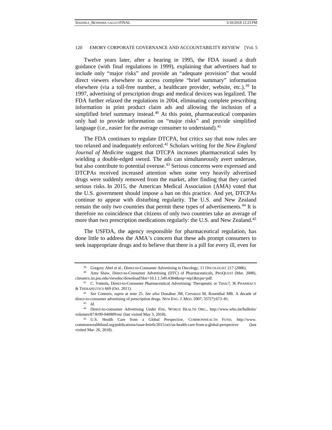Twelve years later, after a hearing in 1995, the FDA issued a draft guidance (with final regulations in 1999), explaining that advertisers had to include only "major risks" and provide an "adequate provision" that would direct viewers elsewhere to access complete "brief summary" information elsewhere (via a toll-free number, a healthcare provider, website, etc.).<sup>[39](#page-8-0)</sup> In 1997, advertising of prescription drugs and medical devices was legalized. The FDA further relaxed the regulations in 2004, eliminating complete prescribing information in print product claim ads and allowing the inclusion of a simplified brief summary instead.<sup>[40](#page-8-1)</sup> At this point, pharmaceutical companies only had to provide information on "major risks" and provide simplified language (i.e., easier for the average consumer to understand).  $41$ 

The FDA continues to regulate DTCPA, but critics say that now rules are too relaxed and inadequately enforced.[42](#page-8-3) Scholars writing for the *New England Journal of Medicine* suggest that DTCPA increases pharmaceutical sales by wielding a double-edged sword. The ads can simultaneously avert underuse, but also contribute to potential overuse.[43](#page-8-4) Serious concerns were expressed and DTCPAs received increased attention when some very heavily advertised drugs were suddenly removed from the market, after finding that they carried serious risks. In 2015, the American Medical Association (AMA) voted that the U.S. government should impose a ban on this practice. And yet, DTCPAs continue to appear with disturbing regularity. The U.S. and New Zealand remain the only two countries that permit these types of advertisements.<sup>[44](#page-8-5)</sup> It is therefore no coincidence that citizens of [only two countries](http://www.commonwealthfund.org/publications/issue-briefs/2015/oct/us-health-care-from-a-global-perspective) take an average of more than two prescription medications regularly: the U.S. and New Zealand.<sup>[45](#page-8-6)</sup>

The USFDA, the agency responsible for pharmaceutical regulation, has done little to address the AMA's concern that these ads prompt consumers to seek inappropriate drugs and to believe that there is a pill for every ill, even for

<sup>39</sup> Gregory Abel et al., Direct-to-Consumer Advertising in Oncology, 11 ONCOLOGIST 217 (2006).

<span id="page-8-1"></span><span id="page-8-0"></span><sup>40</sup> Amy Shaw, Direct-to-Consumer Advertising (DTC) of Pharmaceuticals, PROQUEST (Mar. 2008), citeseerx.ist.psu.edu/viewdoc/download?doi=10.1.1.549.4384&rep=rep1&type=pdf.

<span id="page-8-2"></span><sup>41</sup> C. Ventola, Direct-to-Consumer Pharmaceutical Advertising: Therapeutic or Toxic?, 36 PHARMACY & THERAPEUTICS 669 (Oct. 2011).

<span id="page-8-3"></span><sup>42</sup> *See* Connors, *supra* at note 25. *See also* Donahue JM, Cervasco M, Rosenthal MB. A decade of direct-to-consumer advertising of prescription drugs. NEW ENG.J. MED. 2007; 357(7):673–81.

<sup>43</sup> *Id.*

<span id="page-8-5"></span><span id="page-8-4"></span><sup>44</sup> Direct-to-consumer Advertising Under Fire, WORLD HEALTH ORG., http://www.who.int/bulletin/ volumes/87/8/09-040809/en/ (last visited May 3, 2018).

<span id="page-8-6"></span><sup>45</sup> U.S. Health Care from a Global Perspective, COMMONWEALTH FUND, http://www. commonwealthfund.org/publications/issue-briefs/2015/oct/us-health-care-from-a-global-perspective (last visited Mar. 26, 2018).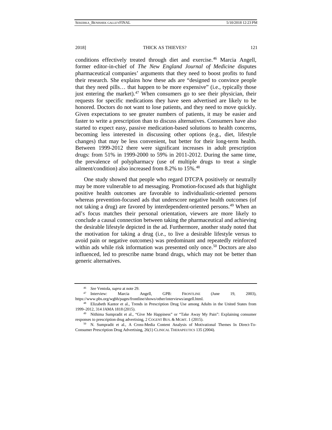2018] THICK AS THIEVES? 2018 121

conditions effectively treated through diet and exercise.[46](#page-9-0) Marcia Angell, former editor-in-chief of *The New England Journal of Medicine* disputes pharmaceutical companies' arguments that they need to boost profits to fund their research. She explains how these ads are "designed to convince people that they need pills… that happen to be more expensive" (i.e., typically those just entering the market).<sup>47</sup> When consumers go to see their physician, their requests for specific medications they have seen advertised are likely to be honored. Doctors do not want to lose patients, and they need to move quickly. Given expectations to see greater numbers of patients, it may be easier and faster to write a prescription than to discuss alternatives. Consumers have also started to expect easy, passive medication-based solutions to health concerns, becoming less interested in discussing other options (e.g., diet, lifestyle changes) that may be less convenient, but better for their long-term health. Between 1999-2012 there were significant increases in adult prescription drugs: from 51% in 1999-2000 to 59% in 2011-2012. During the same time, the prevalence of polypharmacy (use of multiple drugs to treat a single ailment/condition) also increased from 8.2% to 15%.[48](#page-9-2)

One study showed that people who regard DTCPA positively or neutrally may be more vulnerable to ad messaging. Promotion-focused ads that highlight positive health outcomes are favorable to individualistic-oriented persons whereas prevention-focused ads that underscore negative health outcomes (of not taking a drug) are favored by interdependent-oriented persons.<sup>[49](#page-9-3)</sup> When an ad's focus matches their personal orientation, viewers are more likely to conclude a causal connection between taking the pharmaceutical and achieving the desirable lifestyle depicted in the ad. Furthermore, another study noted that the motivation for taking a drug (i.e., to live a desirable lifestyle versus to avoid pain or negative outcomes) was predominant and repeatedly reinforced within ads while risk information was presented only once.<sup>[50](#page-9-4)</sup> Doctors are also influenced, led to prescribe name brand drugs, which may not be better than generic alternatives.

<sup>46</sup> *See* Ventola, *supra* at note 29.

<span id="page-9-1"></span><span id="page-9-0"></span><sup>47</sup> Interview: Marcia Angell, GPB: FRONTLINE (June 19, 2003), https://www.pbs.org/wgbh/pages/frontline/shows/other/interviews/angell.html.

<span id="page-9-2"></span><sup>48</sup> Elizabeth Kantor et al., Trends in Prescription Drug Use among Adults in the United States from 1999–2012, 314 JAMA 1818 (2015).

<span id="page-9-3"></span><sup>49</sup> Nithima Sumpradit et al., "Give Me Happiness" or "Take Away My Pain": Explaining consumer responses to prescription drug advertising, 2 COGENT BUS. & MGMT. 1 (2015).

<span id="page-9-4"></span><sup>50</sup> N. Sumpradit et al., A Cross-Media Content Analysis of Motivational Themes In Direct-To-Consumer Prescription Drug Advertising, 26(1) CLINICAL THERAPEUTICS 135 (2004).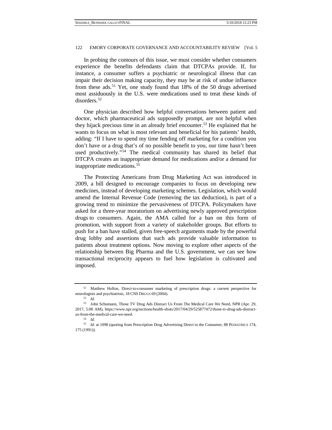In probing the contours of this issue, we must consider whether consumers experience the benefits defendants claim that DTCPAs provide. If, for instance, a consumer suffers a psychiatric or neurological illness that can impair their decision making capacity, they may be at risk of undue influence from these ads. [51](#page-10-0) Yet, one study found that 18% of the 50 drugs advertised most assiduously in the U.S. were medications used to treat these kinds of disorders.[52](#page-10-1)

One physician described how helpful conversations between patient and doctor, which pharmaceutical ads supposedly prompt, are not helpful when they hijack precious time in an already brief encounter.<sup>[53](#page-10-2)</sup> He explained that he wants to focus on what is most relevant and beneficial for his patients' health, adding: "If I have to spend my time fending off marketing for a condition you don't have or a drug that's of no possible benefit to you, our time hasn't been used productively."[54](#page-10-3) The medical community has shared its belief that DTCPA creates an inappropriate demand for medications and/or a demand for inappropriate medications.[55](#page-10-4)

The Protecting Americans from Drug Marketing Act was introduced in 2009, a bill designed to encourage companies to focus on developing new medicines, instead of developing marketing schemes. Legislation, which would amend the Internal Revenue Code (removing the tax deduction), is part of a growing trend to minimize the pervasiveness of DTCPA. Policymakers have asked for a three-year [moratorium](https://www.statnews.com/pharmalot/2016/02/22/rosa-delauro-bill-drug-ads/) on advertising newly approved prescription drugs to consumers. Again, the AMA called for a ban on this form of promotion, with support from a variety of stakeholder groups. But efforts to push for a ban have stalled, given free-speech arguments made by the powerful drug lobby and assertions that such ads provide valuable information to patients about treatment options. Now moving to explore other aspects of the relationship between Big Pharma and the U.S. government, we can see how transactional reciprocity appears to fuel how legislation is cultivated and imposed.

<span id="page-10-0"></span><sup>&</sup>lt;sup>51</sup> Matthew Hollon, Direct-to-consumer marketing of prescription drugs: a current perspective for neurologists and psychiatrists, 18 CNS DRUGS 69 (2004).

<sup>52</sup> *Id.*

<span id="page-10-2"></span><span id="page-10-1"></span><sup>53</sup> John Schumann, Those TV Drug Ads Distract Us From The Medical Care We Need, NPR (Apr. 29, 2017, 5:00 AM), https://www.npr.org/sections/health-shots/2017/04/29/525877472/those-tv-drug-ads-distractus-from-the-medical-care-we-need.

<sup>54</sup> *Id.*

<span id="page-10-4"></span><span id="page-10-3"></span><sup>55</sup> *Id.* at 1098 (quoting from Prescription Drug Advertising Direct to the Consumer, 88 PEDIATRICS 174, 175 (1991)).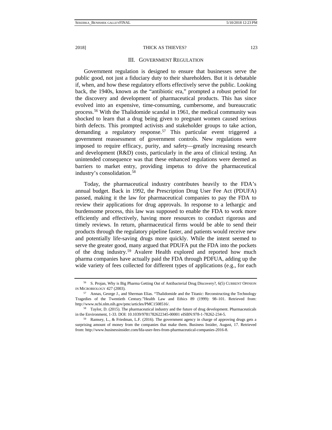#### 2018] THICK AS THIEVES? 2018 123

#### III. GOVERNMENT REGULATION

Government regulation is designed to ensure that businesses serve the public good, not just a fiduciary duty to their shareholders. But it is debatable if, when, and how these regulatory efforts effectively serve the public. Looking back, the 1940s, known as the "antibiotic era," prompted a robust period for the discovery and development of pharmaceutical products. This has since evolved into an expensive, time-consuming, cumbersome, and bureaucratic process.[56](#page-11-0) With the Thalidomide scandal in 1961, the medical community was shocked to learn that a drug being given to pregnant women caused serious birth defects. This prompted activists and stakeholder groups to take action, demanding a regulatory response.<sup>[57](#page-11-1)</sup> This particular event triggered a government reassessment of government controls. New regulations were imposed to require efficacy, purity, and safety—greatly increasing research and development (R&D) costs, particularly in the area of clinical testing. An unintended consequence was that these enhanced regulations were deemed as barriers to market entry, providing impetus to drive the pharmaceutical industry's consolidation.[58](#page-11-2)

Today, the pharmaceutical industry contributes heavily to the FDA's annual budget. Back in 1992, the [Prescription Drug User Fee Act](http://www.fda.gov/ForIndustry/UserFees/PrescriptionDrugUserFee/ucm144411.htm) (PDUFA) passed, making it the law for pharmaceutical companies to pay the FDA to review their applications for drug approvals. In response to a lethargic and burdensome process, this law was supposed to enable the FDA to work more efficiently and effectively, having more resources to conduct rigorous and timely reviews. In return, pharmaceutical firms would be able to send their products through the regulatory pipeline faster, and patients would receive new and potentially life-saving drugs more quickly. While the intent seemed to serve the greater good, many argued that PDUFA put the FDA into the pockets of the drug industry.[59](#page-11-3) Avalere Health explored and reported how much pharma companies have actually paid the FDA through PDFUA, adding up the [wide variety of fees](http://www.fda.gov/Drugs/DevelopmentApprovalProcess/SmallBusinessAssistance/ucm069943.htm) collected for different types of applications (e.g., for each

<span id="page-11-0"></span><sup>56</sup> S. Projan, Why is Big Pharma Getting Out of Antibacterial Drug Discovery?, 6(5) CURRENT OPINION IN MICROBIOLOGY 427 (2003).

<span id="page-11-1"></span><sup>57</sup> Annas, George J., and Sherman Elias. "Thalidomide and the Titanic: Reconstructing the Technology Tragedies of the Twentieth Century."Health Law and Ethics 89 (1999): 98–101. Retrieved from: http://www.ncbi.nlm.nih.gov/pmc/articles/PMC1508516/.

<span id="page-11-2"></span><sup>58</sup> Taylor, D. (2015). The pharmaceutical industry and the future of drug development. Pharmaceuticals in the Environment, 1-33. DOI: 10.1039/9781782622345-00001 eISBN:978-1-78262-234-5.

<span id="page-11-3"></span><sup>59</sup> Ramsey, L., & Friedman, L.F. (2016). The government agency in charge of approving drugs gets a surprising amount of money from the companies that make them. Business Insider, August, 17. Retrieved from: http://www.businessinsider.com/fda-user-fees-from-pharmaceutical-companies-2016-8.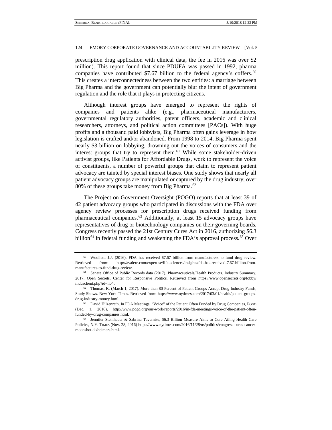prescription drug application with clinical data, the fee in 2016 was over \$2 million). This report found that since PDUFA was passed in 1992, pharma companies have contributed \$7.67 billion to the federal agency's coffers.<sup>[60](#page-12-0)</sup> This creates a interconnectedness between the two entities: a marriage between Big Pharma and the government can potentially blur the intent of government regulation and the role that it plays in protecting citizens.

Although interest groups have emerged to represent the rights of companies and patients alike (e.g., pharmaceutical manufacturers, governmental regulatory authorities, patent officers, academic and clinical researchers, attorneys, and political action committees [PACs]). With huge profits and a thousand paid lobbyists, Big Pharma often gains leverage in how legislation is crafted and/or abandoned. From 1998 to 2014, Big Pharma spent nearly \$3 billion on lobbying, drowning out the voices of consumers and the interest groups that try to represent them.<sup>[61](#page-12-1)</sup> While some stakeholder-driven activist groups, like Patients for Affordable Drugs, work to represent the voice of constituents, a number of powerful groups that claim to represent patient advocacy are tainted by special interest biases. One study shows that nearly all patient advocacy groups are manipulated or captured by the drug industry; over 80% of these groups take money from Big Pharma.<sup>[62](#page-12-2)</sup>

The [Project on Government Oversight](http://www.pogo.org/our-work/reports/2016/in-fda-meetings-voice-of-the-patient-often-funded-by-drug-companies.html) (POGO) reports that at least 39 of 42 patient advocacy groups who participated in discussions with the FDA over agency review processes for prescription drugs received funding from pharmaceutical companies.[63](#page-12-3) Additionally, at least 15 advocacy groups have representatives of drug or biotechnology companies on their governing boards. Congress recently passed the 21st Century Cures Act in 2016, authorizing \$6.3 billion<sup>[64](#page-12-4)</sup> in federal funding and weakening the FDA's approval process.<sup>[65](#page-12-5)</sup> Over

<span id="page-12-5"></span><span id="page-12-0"></span><sup>60</sup> Woollett, J.J. (2016). FDA has received \$7.67 billion from manufacturers to fund drug review. Retrieved from: http://avalere.com/expertise/life-sciences/insights/fda-has-received-7.67-billion-frommanufactures-to-fund-drug-review.

<span id="page-12-1"></span><sup>&</sup>lt;sup>61</sup> Senate Office of Public Records data (2017). Pharmaceuticals/Health Products. Industry Summary, 2017. Open Secrets. Center for Responsive Politics. Retrieved from https://www.opensecrets.org/lobby/ indusclient.php?id=h04.

<span id="page-12-2"></span> $62$  Thomas, K. (March 1, 2017). More than 80 Percent of Patient Groups Accept Drug Industry Funds, Study Shows. New York Times. Retrieved from: https://www.nytimes.com/2017/03/01/health/patient-groupsdrug-industry-money.html.

<span id="page-12-3"></span><sup>63</sup> David Hilzenrath, In FDA Meetings, "Voice" of the Patient Often Funded by Drug Companies, POGO (Dec. 1, 2016), http://www.pogo.org/our-work/reports/2016/in-fda-meetings-voice-of-the-patient-oftenfunded-by-drug-companies.html.

<span id="page-12-4"></span><sup>64</sup> Jennifer Steinhauer & Sabrina Tavernise, \$6.3 Billion Measure Aims to Cure Ailing Health Care Policies, N.Y. TIMES (Nov. 28, 2016) https://www.nytimes.com/2016/11/28/us/politics/congress-cures-cancermoonshot-alzheimers.html.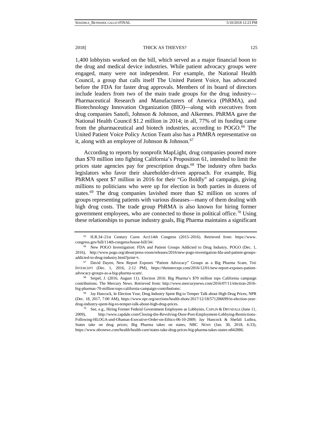[1,400 lobbyists](http://www.npr.org/sections/health-shots/2016/11/25/503176370/legislation-that-would-shape-fda-and-nih-triggers-lobbying-frenzy) worked on the bill, which served as a major financial boon to the drug and medical device industries. While patient advocacy groups were engaged, many were not independent. For example, the [National Health](http://www.nationalhealthcouncil.org/)  [Council,](http://www.nationalhealthcouncil.org/) a group that calls itself The United Patient Voice, has advocated before the FDA for faster drug approvals. Members of its board of directors include leaders from two of the main trade groups for the drug industry— Pharmaceutical Research and Manufacturers of America (PhRMA), and Biotechnology Innovation Organization (BIO)—along with executives from drug companies Sanofi, Johnson & Johnson, and Alkermes. PhRMA gave the National Health Council [\\$1.2 million](http://www.guidestar.org/FinDocuments/2014/530/241/2014-530241211-0c36ff53-9O.pdf) in 2014; in all, 77% of its funding came from the pharmaceutical and biotech industries, according to POGO.<sup>[66](#page-13-0)</sup> The United Patient Voice Policy Action Team also has a PhMRA representative on it, along with an employee of Johnson  $&$  Johnson.<sup>[67](#page-13-1)</sup>

According to reports by nonprofit MapLight, drug companies poured more than \$70 million into fighting California's Proposition 61, intended to limit the prices state agencies pay for prescription drugs.[68](#page-13-2) The industry often backs legislators who favor their shareholder-driven approach. For example, Big PhRMA spent \$7 million in 2016 for their "Go Boldly" ad campaign, giving millions to politicians who were up for election in both parties in dozens of states.<sup>[69](#page-13-3)</sup> The drug companies lavished more than \$2 million on scores of groups representing patients with various diseases—many of them dealing with high drug costs. The trade group PhRMA is also known for hiring former government employees, who are connected to those in political office.<sup>[70](#page-13-4)</sup> Using these relationships to pursue industry goals, Big Pharma maintains a significant

<sup>65</sup> H.R.34–21st Century Cures Act114th Congress (2015–2016). Retrieved from: https://www. congress.gov/bill/114th-congress/house-bill/34/.

<span id="page-13-0"></span><sup>&</sup>lt;sup>66</sup> New POGO Investigation: FDA and Patient Groups Addicted to Drug Industry, POGO (Dec. 1, 2016), http://www.pogo.org/about/press-room/releases/2016/new-pogo-investigation-fda-and-patient-groupsaddicted-to-drug-industry.html?print=t.

<span id="page-13-1"></span><sup>67</sup> David Dayen, New Report Exposes "Patient Advocacy" Groups as a Big Pharma Scam, THE INTERCEPT (Dec. 1, 2016, 2:12 PM), https://theintercept.com/2016/12/01/new-report-exposes-patientadvocacy-groups-as-a-big-pharma-scam/.

<span id="page-13-2"></span><sup>68</sup> Seipel, J. (2016, August 11). Election 2016: Big Pharma's \$70 million tops California campaign contributions. The Mercury News. Retrieved from: http://www.mercurynews.com/2016/07/11/election-2016 big-pharmas-70-million-tops-california-campaign-contributions/.<br><sup>69</sup> Jay Hancock, In Election Year, Drug Industry Spent Big to Temper Talk about High Drug Prices, NPR

<span id="page-13-3"></span><sup>(</sup>Dec. 18, 2017, 7:00 AM), https://www.npr.org/sections/health-shots/2017/12/18/571206699/in-election-yeardrug-industry-spent-big-to-temper-talk-about-high-drug-prices.

<span id="page-13-4"></span><sup>&</sup>lt;sup>70</sup> See, e.g., Hiring Former Federal Government Employees as Lobbyists, CAPLIN & DRYSDALE (June 11, 2009), http://www.capdale.com/Closing-the-Revolving-Door-Post-Employment-Lobbying-Restrictions-Following-HLOGA-and-Obamas-Executive-Order-on-Ethics-06-10-2009; Jay Hancock & Shefali Luthra, States take on drug prices; Big Pharma takes on states, NBC NEWS (Jan. 30, 2018, 6:33), https://www.nbcnews.com/health/health-care/states-take-drug-prices-big-pharma-takes-states-n842886.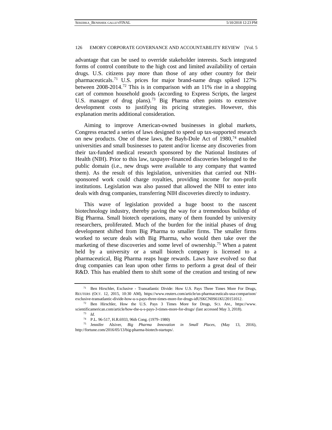advantage that can be used to override stakeholder interests. Such integrated forms of control contribute to the high cost and limited availability of certain drugs. U.S. citizens pay more than those of any other country for their pharmaceuticals.[71](#page-14-0) U.S. prices for major brand-name drugs spiked 127% between 2008-2014[.72](#page-14-1) This is in comparison with an 11% rise in a shopping cart of common household goods (according to Express Scripts, the largest U.S. manager of drug plans).<sup>[73](#page-14-2)</sup> Big Pharma often points to extensive development costs to justifying its pricing strategies. However, this explanation merits additional consideration.

Aiming to improve American-owned businesses in global markets, Congress enacted a series of laws designed to speed up tax-supported research on new products. One of these laws, the Bayh-Dole Act of  $1980$ ,  $74$  enabled universities and small businesses to patent and/or license any discoveries from their tax-funded medical research sponsored by the National Institutes of Health (NIH). Prior to this law, taxpayer-financed discoveries belonged to the public domain (i.e., new drugs were available to any company that wanted them). As the result of this legislation, universities that carried out NIHsponsored work could charge royalties, providing income for non-profit institutions. Legislation was also passed that allowed the NIH to enter into deals with drug companies, transferring NIH discoveries directly to industry.

This wave of legislation provided a huge boost to the nascent biotechnology industry, thereby paving the way for a tremendous buildup of Big Pharma. Small biotech operations, many of them founded by university researchers, proliferated. Much of the burden for the initial phases of drug development shifted from Big Pharma to smaller firms. The smaller firms worked to secure deals with Big Pharma, who would then take over the marketing of these discoveries and some level of ownership.<sup>[75](#page-14-4)</sup> When a patent held by a university or a small biotech company is licensed to a pharmaceutical, Big Pharma reaps huge rewards. Laws have evolved so that drug companies can lean upon other firms to perform a great deal of their R&D. This has enabled them to shift some of the creation and testing of new

<span id="page-14-0"></span><sup>71</sup> Ben Hirschler, Exclusive - Transatlantic Divide: How U.S. Pays Three Times More For Drugs, REUTERS (OCT. 12, 2015, 10:30 AM), https://www.reuters.com/article/us-pharmaceuticals-usa-comparison/ exclusive-transatlantic-divide-how-u-s-pays-three-times-more-for-drugs-idUSKCN0S61KU20151012.

<span id="page-14-2"></span><span id="page-14-1"></span><sup>72</sup> Ben Hirschler, How the U.S. Pays 3 Times More for Drugs, SCI. AM., https://www. scientificamerican.com/article/how-the-u-s-pays-3-times-more-for-drugs/ (last accessed May 3, 2018).

<sup>73</sup> *Id.*

<sup>74</sup> P.L. 96-517, H.R.6933, 96th Cong. (1979–1980)

<span id="page-14-4"></span><span id="page-14-3"></span><sup>75</sup> Jennifer Alsiver, *Big Pharma Innovation in Small Places*, (May 13, 2016), http://fortune.com/2016/05/13/big-pharma-biotech-startups/.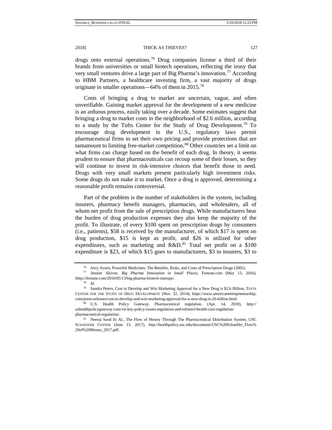drugs onto external operations.[76](#page-15-0) Drug companies license a third of their brands from universities or small biotech operations, reflecting the irony that very small ventures drive a large part of Big Pharma's innovation.[77](#page-15-1) According to HBM Partners, a healthcare investing firm, a vast majority of drugs originate in smaller operations—64% of them in 2015.[78](#page-15-2)

Costs of bringing a drug to market are uncertain, vague, and often unverifiable. Gaining market approval for the development of a new medicine is an arduous process, easily taking over a decade. Some estimates suggest that bringing a drug to market costs in the neighborhood of \$2.6 million, according to a study by the Tufts Center for the Study of Drug Development.<sup>[79](#page-15-3)</sup> To encourage drug development in the U.S., regulatory laws permit pharmaceutical firms to set their own pricing and provide protections that are tantamount to limiting free-market competition.<sup>[80](#page-15-4)</sup> Other countries set a limit on what firms can charge based on the benefit of each drug. In theory, it seems prudent to ensure that pharmaceuticals can recoup some of their losses, so they will continue to invest in risk-intensive choices that benefit those in need. Drugs with very small markets present particularly high investment risks. Some drugs do not make it to market. Once a drug is approved, determining a reasonable profit remains controversial.

Part of the problem is the number of stakeholders in the system, including insurers, pharmacy benefit managers, pharmacies, and wholesalers, all of whom net profit from the sale of prescription drugs. While manufacturers bear the burden of drug production expenses they also keep the majority of the profit. To illustrate, of every \$100 spent on prescription drugs by consumers (i.e., patients), \$58 is received by the manufacturer, of which \$17 is spent on drug production, \$15 is kept as profit, and \$26 is utilized for other expenditures, such as marketing and  $R&D.<sup>81</sup>$  $R&D.<sup>81</sup>$  $R&D.<sup>81</sup>$  Total net profit on a \$100 expenditure is \$23, of which \$15 goes to manufacturers, \$3 to insurers, \$3 to

<sup>76</sup> Jerry Avorn, Powerful Medicines: The Benefits, Risks, and Costs of Prescription Drugs (2005). 77 Jennier Alsiver, *Big Pharma Innovation in Small Places*, Fortune.com (May 13, 2016),

<span id="page-15-1"></span><span id="page-15-0"></span>thttp://fortune.com/2016/05/13/big-pharma-biotech-startups/.

<sup>78</sup> *Id.*

<span id="page-15-3"></span><span id="page-15-2"></span><sup>&</sup>lt;sup>79</sup> Sandra Peters, Cost to Develop and Win Marketing Approval for a New Drug is \$2.6 Billion, TUFTS CENTER FOR THE STUDY OF DRUG DEVELOPMENT (Nov. 22, 2014), https://www.americanentrepreneurship. com/press-releases/cost-to-develop-and-win-marketing-approval-for-a-new-drug-is-26-billion.html.

<span id="page-15-4"></span><sup>80</sup> U.S. Health Policy Gateway, Pharmaceutical regulation, (Apr. 14, 2018), http:// ushealthpolicygateway.com/vii-key-policy-issues-regulation-and-reform/l-health-care-regulation/ pharmaceutical-regulation/.

<span id="page-15-5"></span><sup>&</sup>lt;sup>81</sup> Neeraj Sood Et Al., The Flow of Money Through The Pharmaceutical Distribution System, USC SCHAEFFER CENTER (June 13, 2017), http://healthpolicy.usc.edu/documents/USC%20Schaeffer\_Flow% 20of%20Money\_2017.pdf.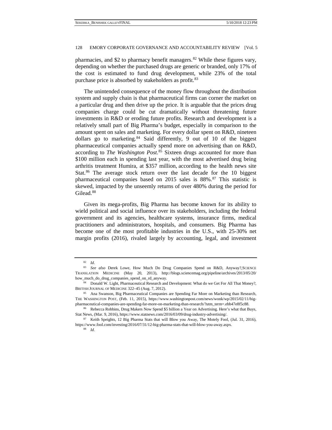pharmacies, and \$2 to pharmacy benefit managers. $82$  While these figures vary, depending on whether the purchased drugs are generic or branded, only 17% of the cost is estimated to fund drug development, while 23% of the total purchase price is absorbed by stakeholders as profit.<sup>[83](#page-16-1)</sup>

The unintended consequence of the money flow throughout the distribution system and supply chain is that pharmaceutical firms can corner the market on a particular drug and then drive up the price. It is arguable that the prices drug companies charge could be cut dramatically without threatening future investments in R&D or eroding future profits. Research and development is a relatively small part of Big Pharma's budget, especially in comparison to the amount spent on sales and marketing. For every dollar spent on R&D, nineteen dollars go to marketing. $84$  Said differently, 9 out of 10 of the biggest pharmaceutical companies actually spend more on advertising than on R&D, according to *The Washington Post*. [85](#page-16-3) Sixteen drugs accounted for more than \$100 million each in spending last year, with the most advertised drug being arthritis treatment Humira, at \$357 million, [according to the health news site](http://www.statnews.com/2016/03/09/drug-industry-advertising/)  [Stat.](http://www.statnews.com/2016/03/09/drug-industry-advertising/)<sup>[86](#page-16-4)</sup> The average stock return over the last decade for the 10 biggest pharmaceutical companies based on 2015 sales is 88%.<sup>[87](#page-16-5)</sup> This statistic is skewed, impacted by the unseemly returns of over 480% during the period for Gilead.<sup>[88](#page-16-6)</sup>

Given its mega-profits, Big Pharma has become known for its ability to wield political and social influence over its stakeholders, including the federal government and its agencies, healthcare systems, insurance firms, medical practitioners and administrators, hospitals, and consumers. Big Pharma has become one of the most profitable industries in the U.S., with 25-30% net margin profits (2016), rivaled largely by accounting, legal, and investment

<sup>82</sup> *Id*.

<span id="page-16-1"></span><span id="page-16-0"></span><sup>83</sup> *See also* Derek Lowe, How Much Do Drug Companies Spend on R&D, Anyway?,SCIENCE TRANSLATION MEDICINE (May 20, 2013), http://blogs.sciencemag.org/pipeline/archives/2013/05/20/ how\_much\_do\_drug\_companies\_spend\_on\_rd\_anyway.

<span id="page-16-2"></span><sup>84</sup> Donald W. Light, Pharmaceutical Research and Development: What do we Get For All That Money?, BRITISH JOURNAL OF MEDICINE 322–45 (Aug. 7, 2012).<br><sup>85</sup> Ana Swanson, Big Pharmaceutical Companies are Spending Far More on Marketing than Research,

<span id="page-16-3"></span>THE WASHINGTON POST, (Feb. 11, 2015), https://www.washingtonpost.com/news/wonk/wp/2015/02/11/bigpharmaceutical-companies-are-spending-far-more-on-marketing-than-research/?utm\_term=.ebb47e8f5c88.

<span id="page-16-4"></span><sup>86</sup> Rebecca Robbins, Drug Makers Now Spend \$5 billion a Year on Advertising. Here's what that Buys, Stat News, (Mar. 9, 2016), https://www.statnews.com/2016/03/09/drug-industry-advertising/.<br><sup>87</sup> Keith Speights, 12 Big Pharma Stats that will Blow you Away, The Motely Fool, (Jul. 31, 2016),

<span id="page-16-6"></span><span id="page-16-5"></span>https://www.fool.com/investing/2016/07/31/12-big-pharma-stats-that-will-blow-you-away.aspx.

<sup>88</sup> *Id*.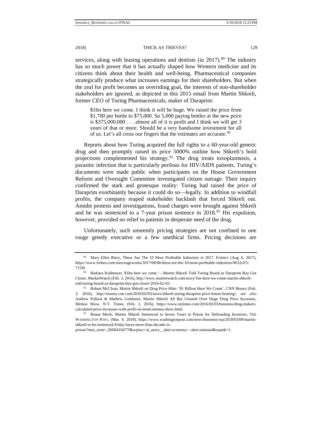services, along with leasing operations and dentists (in 2017).<sup>[89](#page-17-0)</sup> The industry has so much power that it has actually shaped how Western medicine and its citizens think about their health and well-being. Pharmaceutical companies strategically produce what increases earnings for their shareholders. But when the zeal for profit becomes an overriding goal, the interests of non-shareholder stakeholders are ignored, as depicted in this 2015 email from Martin Shkreli, former CEO of Turing Pharmaceuticals, maker of Daraprim:

\$1bn here we come. I think it will be huge. We raised the price from \$1,700 per bottle to \$75,000. So 5,000 paying bottles at the new price is  $$375,000,000...$  almost all of it is profit and I think we will get 3 years of that or more. Should be a very handsome investment for all of us. Let's all cross our fingers that the estimates are accurate.  $90$ 

Reports about how Turing acquired the full rights to a 60-year-old generic drug and then promptly raised its price 5000% outline how Shkreli's bold projections complemented his strategy.<sup>[91](#page-17-2)</sup> The drug treats toxoplasmosis, a parasitic infection that is particularly perilous for HIV/AIDS patients. Turing's documents were made public when participants on the House Government Reform and Oversight Committee investigated citizen outrage. Their inquiry confirmed the stark and grotesque reality: Turing had raised the price of Daraprim exorbitantly because it could do so—legally. In addition to windfall profits, the company reaped stakeholder backlash that [forced Shkreli](http://www.huffingtonpost.com/entry/reviled-pharma-ceo-martin-shkreli-resigns_us_567445fee4b06fa6887d23f8) out. Amidst protests and investigations, fraud charges were brought against Shkreli and he was sentenced to a 7-year prison sentence in  $2018<sup>92</sup>$  $2018<sup>92</sup>$  $2018<sup>92</sup>$  His expulsion, however, provided no relief to patients in desperate need of the drug.

Unfortunately, such unseemly pricing strategies are not confined to one rouge greedy executive or a few unethical firms. Pricing decisions are

prison/?utm\_term=.20f4f410477f&wpisrc=al\_news\_\_alert-economy—alert-national&wpmk=1.

<span id="page-17-0"></span><sup>89</sup> Mary Ellen Biery, These Are The 10 Most Profitable Industries in 2017, FORBES (Aug. 6, 2017), https://www.forbes.com/sites/sageworks/2017/08/06/these-are-the-10-most-profitable-industries/#632c67c 715f0.90 Barbara Kollmeyer,'\$1bn here we come.'—Martin Shkreli Told Turing Board as Daraprim Buy Got

<span id="page-17-1"></span>Closer, MarketWatch (Feb. 3, 2016), http://www.marketwatch.com/story/1bn-here-we-come-martin-shkrelitold-turing-board-as-daraprim-buy-got-closer-2016-02-03.

<span id="page-17-2"></span><sup>91</sup> Robert McClean, Martin Shkreli on Drug Price Hike: '\$1 Billion Here We Come', CNN Monev (Feb. 3, 2016), http://money.cnn.com/2016/02/03/news/shkreli-turing-daraprim-price-house-hearing/; *see also* Andrew Pollack & Mathew Goldstein, Martin Shkreli All But Gloated Over Huge Drug Price Increases, Memos Show, N.Y. Times, (Feb. 2, 2016), https://www.nytimes.com/2016/02/03/business/drug-makerscalculated-price-increases-with-profit-in-mind-memos-show.html.

<span id="page-17-3"></span><sup>92</sup> Renae Merle, Martin Shkreli Sentenced to Seven Years in Prison for Defrauding Investors, THE WASHINGTON POST, (Mar. 9, 2018), https://www.washingtonpost.com/news/business/wp/2018/03/09/martinshkreli-to-be-sentenced-friday-faces-more-than-decade-in-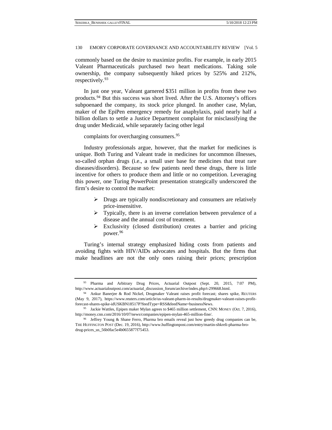commonly based on the desire to maximize profits. For example, in early 2015 Valeant Pharmaceuticals purchased two heart medications. Taking sole ownership, the company subsequently hiked prices by 525% and 212%, respectively.<sup>[93](#page-18-0)</sup>

In just one year, Valeant garnered \$351 million in profits from these two products.[94](#page-18-1) But this success was short lived. After the U.S. Attorney's offices subpoenaed the company, its stock price plunged. In another case, Mylan, maker of the EpiPen emergency remedy for anaphylaxis, paid nearly half a billion dollars to settle a Justice Department complaint for misclassifying the drug under Medicaid, while separately facing other legal

complaints for overcharging consumers.<sup>[95](#page-18-2)</sup>

Industry professionals argue, however, that the market for medicines is unique. Both Turing and Valeant trade in medicines for uncommon illnesses, so-called orphan drugs (i.e., a small user base for medicines that treat rare diseases/disorders). Because so few patients need these drugs, there is little incentive for others to produce them and little or no competition. Leveraging this power, one Turing PowerPoint presentation strategically underscored the firm's desire to control the market:

- $\triangleright$  Drugs are typically nondiscretionary and consumers are relatively price-insensitive.
- $\triangleright$  Typically, there is an inverse correlation between prevalence of a disease and the annual cost of treatment.
- $\triangleright$  Exclusivity (closed distribution) creates a barrier and pricing power.[96](#page-18-3)

Turing's internal strategy emphasized hiding costs from patients and avoiding fights with HIV/AIDs advocates and hospitals. But the firms that make headlines are not the only ones raising their prices; prescription

<span id="page-18-0"></span><sup>93</sup> Pharma and Arbitrary Drug Prices, Actuarial Outpost (Sept. 20, 2015, 7:07 PM), http://www.actuarialoutpost.com/actuarial\_discussion\_forum/archive/index.php/t-299668.html.

<span id="page-18-1"></span><sup>94</sup> Ankur Banerjee & Rod Nickel, Drugmaker Valeant raises profit forecast; shares spike, REUTERS (May 9, 2017), https://www.reuters.com/article/us-valeant-pharm-in-results/drugmaker-valeant-raises-profitforecast-shares-spike-idUSKBN18517P?feedType=RSS&feedName=businessNews.

<span id="page-18-2"></span><sup>95</sup> Jackie Wattles, Epipen maker Mylan agrees to \$465 million settlement, CNN: MONEY (Oct. 7, 2016), http://money.cnn.com/2016/10/07/news/companies/epipen-mylan-465-million-fine/.

<span id="page-18-3"></span><sup>96</sup> Jeffrey Young & Shane Ferro, Pharma bro emails reveal just how greedy drug companies can be, THE HUFFINGTON POST (Dec. 19, 2016), http://www.huffingtonpost.com/entry/martin-shkreli-pharma-brodrug-prices\_us\_56b0fac5e4b0655877f75453.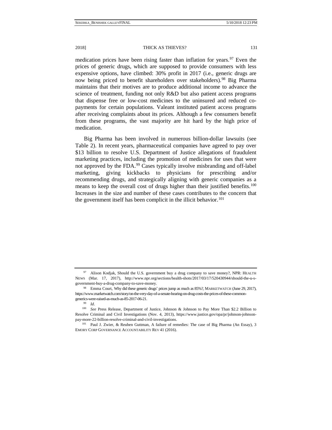medication prices have been rising faster than inflation for years.  $97$  Even the prices of generic drugs, which are supposed to provide consumers with less expensive options, have climbed: 30% profit in 2017 (i.e., generic drugs are now being priced to benefit shareholders over stakeholders).[98](#page-19-1) Big Pharma maintains that their motives are to produce additional income to advance the science of treatment, funding not only R&D but also patient access programs that dispense free or low-cost medicines to the uninsured and reduced copayments for certain populations. Valeant instituted patient access programs after receiving complaints about its prices. Although a few consumers benefit from these programs, the vast majority are hit hard by the high price of medication.

Big Pharma has been involved in numerous billion-dollar lawsuits (see Table 2). In recent years, pharmaceutical companies have agreed to pay over \$13 billion to resolve U.S. Department of Justice allegations of fraudulent marketing practices, including the promotion of medicines for uses that were not approved by the FDA. [99](#page-19-2) Cases typically involve misbranding and off-label marketing, giving kickbacks to physicians for prescribing and/or recommending drugs, and strategically aligning with generic companies as a means to keep the overall cost of drugs higher than their justified benefits.<sup>[100](#page-19-3)</sup> Increases in the size and number of these cases contributes to the concern that the government itself has been complicit in the illicit behavior.<sup>[101](#page-19-4)</sup>

<span id="page-19-0"></span>Alison Kodjak, Should the U.S. government buy a drug company to save money?, NPR: HEALTH NEWS (Mar. 17, 2017), http://www.npr.org/sections/health-shots/2017/03/17/520430944/should-the-u-sgovernment-buy-a-drug-company-to-save-money.

<span id="page-19-1"></span><sup>98</sup> Emma Court, Why did these generic drugs' prices jump as much as 85%?, MARKETWATCH (June 29, 2017), https://www.marketwatch.com/story/on-the-very-day-of-a-senate-hearing-on-drug-costs-the-prices-of-these-commongenerics-were-raised-as-much-as-85-2017-06-21.

<sup>99</sup> *Id*.

<span id="page-19-3"></span><span id="page-19-2"></span><sup>100</sup> *See* Press Release, Department of Justice, Johnson & Johnson to Pay More Than \$2.2 Billion to Resolve Criminal and Civil Investigations (Nov. 4, 2013), https://www.justice.gov/opa/pr/johnson-johnsonpay-more-22-billion-resolve-criminal-and-civil-investigations.

<span id="page-19-4"></span><sup>101</sup> Paul J. Zwier, & Reuben Guttman, A failure of remedies: The case of Big Pharma (An Essay), 3 EMORY CORP GOVERNANCE ACCOUNTABILITY REV 41 (2016).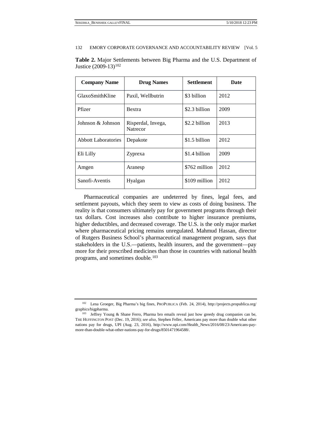| <b>Company Name</b>        | <b>Drug Names</b>                     | Settlement    | Date |
|----------------------------|---------------------------------------|---------------|------|
| GlaxoSmithKline            | Paxil, Wellbutrin                     | \$3 billion   | 2012 |
| Pfizer                     | <b>Bextra</b>                         | \$2.3 billion | 2009 |
| Johnson & Johnson          | Risperdal, Invega,<br><b>Natrecor</b> | \$2.2 billion | 2013 |
| <b>Abbott Laboratories</b> | Depakote                              | \$1.5 billion | 2012 |
| Eli Lilly                  | Zyprexa                               | \$1.4 billion | 2009 |
| Amgen                      | Aranesp                               | \$762 million | 2012 |
| Sanofi-Aventis             | Hyalgan                               | \$109 million | 2012 |

**Table 2.** Major Settlements between Big Pharma and the U.S. Department of Justice (2009-13)<sup>[102](#page-20-0)</sup>

Pharmaceutical companies are undeterred by fines, legal fees, and settlement payouts, which they seem to view as costs of doing business. The reality is that consumers ultimately pay for government programs through their tax dollars. Cost increases also contribute to higher insurance premiums, higher deductibles, and decreased coverage. The U.S. is the only major market where pharmaceutical pricing remains unregulated. Mahmud Hassan, director of Rutgers Business School's pharmaceutical management program, says that stakeholders in the U.S.—patients, health insurers, and the government[—pay](http://www.bloomberg.com/graphics/2015-drug-prices/)  [more for their prescribed medicines](http://www.bloomberg.com/graphics/2015-drug-prices/) than those in countries with national health programs, and sometimes double.<sup>[103](#page-20-1)</sup>

<span id="page-20-0"></span><sup>102</sup> Lena Groeger, Big Pharma's big fines, PROPUBLICA (Feb. 24, 2014), http://projects.propublica.org/ graphics/bigpharma.

<span id="page-20-1"></span><sup>&</sup>lt;sup>103</sup> Jeffrey Young & Shane Ferro, Pharma bro emails reveal just how greedy drug companies can be, THE HUFFINGTON POST (Dec. 19, 2016); *see also*, Stephen Feller, Americans pay more than double what other nations pay for drugs, UPI (Aug. 23, 2016), http://www.upi.com/Health\_News/2016/08/23/Americans-paymore-than-double-what-other-nations-pay-for-drugs/8501471964588/.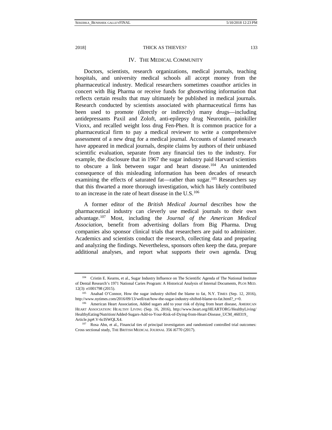#### IV. THE MEDICAL COMMUNITY

Doctors, scientists, research organizations, medical journals, teaching hospitals, and university medical schools all accept money from the pharmaceutical industry. Medical researchers sometimes coauthor articles in concert with Big Pharma or receive funds for ghostwriting information that reflects certain results that may ultimately be published in medical journals. Research conducted by scientists associated with pharmaceutical firms has been used to promote (directly or indirectly) many drugs—including antidepressants [Paxil](https://www.drugwatch.com/paxil/lawsuit.php) and Zoloft, anti-epilepsy drug Neurontin, painkiller [Vioxx,](https://www.drugwatch.com/vioxx/) and recalled weight loss drug Fen-Phen. It is common practice for a pharmaceutical firm to pay a medical reviewer to write a comprehensive assessment of a new drug for a medical journal. Accounts of slanted research have appeared in medical journals, despite claims by authors of their unbiased scientific evaluation, separate from any financial ties to the industry. For example, the disclosure that in 1967 the sugar industry paid Harvard scientists to obscure a link between sugar and heart disease.<sup>[104](#page-21-0)</sup> An unintended consequence of this misleading information has been decades of research examining the effects of saturated fat—rather than sugar.<sup>[105](#page-21-1)</sup> Researchers say that this thwarted a more thorough investigation, which has likely contributed to an increase in the rate of heart disease in the  $U.S.<sup>106</sup>$  $U.S.<sup>106</sup>$  $U.S.<sup>106</sup>$ 

A former editor of the *British Medical Journal* describes how the pharmaceutical industry can cleverly use medical journals to their own advantage.[107](#page-21-3) Most, including the *Journal of the American Medical Association*, benefit from advertising dollars from Big Pharma. Drug companies also [sponsor](https://www.drugwatch.com/manufacturer/clinical-trials-and-hidden-data/) clinical trials that researchers are paid to administer. Academics and scientists conduct the research, collecting data and preparing and analyzing the findings. Nevertheless, sponsors often keep the data, prepare additional analyses, and report what supports their own agenda. Drug

<span id="page-21-0"></span><sup>104</sup> Cristin E. Kearns, et al., Sugar Industry Influence on The Scientific Agenda of The National Institute of Dental Research's 1971 National Caries Program: A Historical Analysis of Internal Documents, PLOS MED. 12(3): e1001798 (2015).

<span id="page-21-1"></span><sup>105</sup> Anahad O'Connor, How the sugar industry shifted the blame to fat, N.Y. TIMES (Sep. 12, 2016), http://www.nytimes.com/2016/09/13/well/eat/how-the-sugar-industry-shifted-blame-to-fat.html?\_r=0.<br><sup>106</sup> American Heart Association, Added sugars add to your risk of dying from heart disease, AMERICAN

<span id="page-21-2"></span>HEART ASSOCIATION: HEALTHY LIVING (Sep. 16, 2016), http://www.heart.org/HEARTORG/HealthyLiving/ HealthyEating/Nutrition/Added-Sugars-Add-to-Your-Risk-of-Dying-from-Heart-Disease\_UCM\_460319\_ Article.jsp#.V-6cISWQLX4.<br><sup>107</sup> Rosa Ahn, et al., Financial ties of principal investigators and randomized controlled trial outcomes:

<span id="page-21-3"></span>Cross sectional study, THE BRITISH MEDICAL JOURNAL 356 i6770 (2017).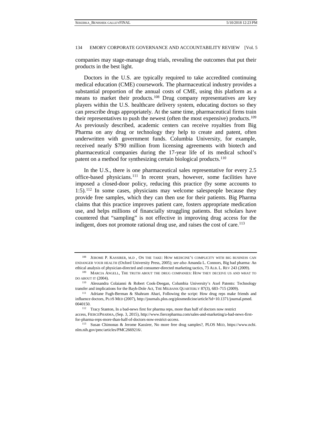companies may stage-manage drug trials, revealing the outcomes that put their products in the best light.

Doctors in the U.S. are typically required to take accredited continuing medical education (CME) coursework. The pharmaceutical industry provides a substantial proportion of the annual costs of CME, using this platform as a means to market their products.<sup>[108](#page-22-0)</sup> Drug company representatives are key players within the U.S. healthcare delivery system, educating doctors so they can prescribe drugs appropriately. At the same time, pharmaceutical firms train their representatives to push the newest (often the most expensive) products[.109](#page-22-1) As previously described, academic centers can receive royalties from Big Pharma on any drug or technology they help to create and patent, often underwritten with government funds. Columbia University, for example, received nearly \$790 million from licensing agreements with biotech and pharmaceutical companies during the 17-year life of its medical school's patent on a method for synthesizing certain biological products.<sup>[110](#page-22-2)</sup>

In the U.S., there is one pharmaceutical sales representative for every 2.5 office-based physicians.[111](#page-22-3) In recent years, however, some facilities have imposed a closed-door policy, reducing this practice (by some accounts to  $1:5$ ).<sup>[112](#page-22-4)</sup> In some cases, physicians may welcome salespeople because they provide free samples, which they can then use for their patients. Big Pharma claims that this practice improves patient care, fosters appropriate medication use, and helps millions of financially struggling patients. But scholars have countered that "sampling" is not effective in improving drug access for the indigent, does not promote rational drug use, and raises the cost of care.<sup>[113](#page-22-5)</sup>

<span id="page-22-0"></span><sup>108</sup> JEROME P. KASSIRER, M.D , ON THE TAKE: HOW MEDICINE'S COMPLICITY WITH BIG BUSINESS CAN ENDANGER YOUR HEALTH (Oxford University Press, 2005); *see also* Amanda L. Connors, Big bad pharma: An ethical analysis of physician-directed and consumer-directed marketing tactics, 73 ALB. L. REV 243 (2009).

<span id="page-22-1"></span><sup>109</sup> MARCIA ANGELL, THE TRUTH ABOUT THE DRUG COMPANIES: HOW THEY DECEIVE US AND WHAT TO DO ABOUT IT (2004).

<span id="page-22-2"></span><sup>110</sup> Alessandra Colaianni & Robert Cook-Deegan, Columbia University's Axel Patents: Technology transfer and implications for the Bayh-Dole Act, THE MILBANK QUARTERLY 87(3), 683–715 (2009). 111 Adriane Fugh-Berman & Shahram Ahari, Following the script: How drug reps make friends and

<span id="page-22-3"></span>influence doctors, PLOS MED (2007), http://journals.plos.org/plosmedicine/article?id=10.1371/journal.pmed. 0040150.

<span id="page-22-4"></span><sup>112</sup> Tracy Stanton, In a bad-news first for pharma reps, more than half of doctors now restrict access, FIERCEPHARMA, (Sep. 3, 2015), http://www.fiercepharma.com/sales-and-marketing/a-bad-news-firstfor-pharma-reps-more-than-half-of-doctors-now-restrict-access.

<span id="page-22-5"></span><sup>113</sup> Susan Chimonas & Jerome Kassirer, No more free drug samples?, PLOS MED, https://www.ncbi. nlm.nih.gov/pmc/articles/PMC2669216/.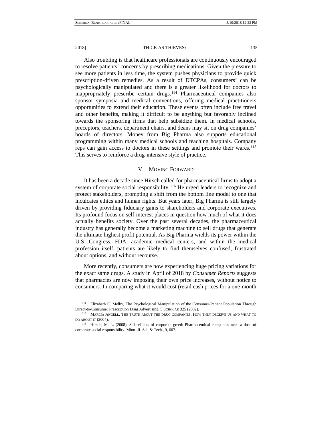Also troubling is that healthcare professionals are continuously encouraged to resolve patients' concerns by prescribing medications. Given the pressure to see more patients in less time, the system pushes physicians to provide quick prescription-driven remedies. As a result of DTCPAs, consumers' can be psychologically manipulated and there is a greater likelihood for doctors to inappropriately prescribe certain drugs.<sup>[114](#page-23-0)</sup> Pharmaceutical companies also sponsor symposia and medical conventions, offering medical practitioners opportunities to extend their education. These events often include free travel and other benefits, making it difficult to be anything but favorably inclined towards the sponsoring firms that help subsidize them. In medical schools, preceptors, teachers, department chairs, and deans may sit on drug companies' boards of directors. Money from Big Pharma also supports educational programming within many medical schools and teaching hospitals. Company reps can gain access to doctors in these settings and promote their wares.[115](#page-23-1) This serves to reinforce a drug-intensive style of practice.

## V. MOVING FORWARD

It has been a decade since Hirsch called for pharmaceutical firms to adopt a system of corporate social responsibility.<sup>[116](#page-23-2)</sup> He urged leaders to recognize and protect stakeholders, prompting a shift from the bottom line model to one that inculcates ethics and human rights. But years later, Big Pharma is still largely driven by providing fiduciary gains to shareholders and corporate executives. Its profound focus on self-interest places in question how much of what it does actually benefits society. Over the past several decades, the pharmaceutical industry has generally become a marketing machine to sell drugs that generate the ultimate highest profit potential. As Big Pharma wields its power within the U.S. Congress, FDA, academic medical centers, and within the medical profession itself, patients are likely to find themselves confused, frustrated about options, and without recourse.

More recently, consumers are now experiencing huge pricing variations for the exact same drugs. A study in April of 2018 by *Consumer Reports* suggests that pharmacies are now imposing their own price increases, without notice to consumers. In comparing what it would cost (retail cash prices for a one-month

<span id="page-23-0"></span><sup>114</sup> Elizabeth C. Melby, The Psychological Manipulation of the Consumer-Patient Population Through Direct-to-Consumer Prescription Drug Advertising, 5 SCHOLAR 325 (2002).

<span id="page-23-1"></span><sup>115</sup> MARCIA ANGELL, THE TRUTH ABOUT THE DRUG COMPANIES: HOW THEY DECEIVE US AND WHAT TO DO ABOUT IT (2004).

<span id="page-23-2"></span><sup>116</sup> Hirsch, M. L. (2008). Side effects of corporate greed: Pharmaceutical companies need a dose of corporate social responsibility. Minn. JL Sci. & Tech., 9, 607.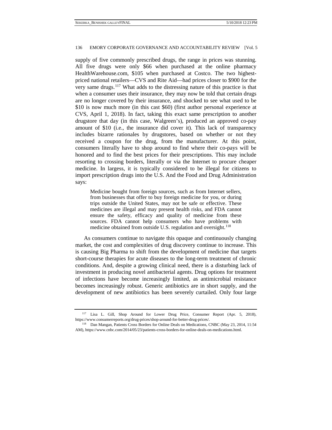supply of five commonly prescribed drugs, the range in prices was stunning. All five drugs were only \$66 when purchased at the online pharmacy HealthWarehouse.com, \$105 when purchased at Costco. The two highestpriced national retailers—CVS and Rite Aid—had prices closer to \$900 for the very same drugs.[117](#page-24-0) What adds to the distressing nature of this practice is that when a consumer uses their insurance, they may now be told that certain drugs are no longer covered by their insurance, and shocked to see what used to be \$10 is now much more (in this cast \$60) (first author personal experience at CVS, April 1, 2018). In fact, taking this exact same prescription to another drugstore that day (in this case, Walgreen's), produced an approved co-pay amount of \$10 (i.e., the insurance did cover it). This lack of transparency includes bizarre rationales by drugstores, based on whether or not they received a coupon for the drug, from the manufacturer. At this point, consumers literally have to shop around to find where their co-pays will be honored and to find the best prices for their prescriptions. This may include resorting to crossing borders, literally or via the Internet to procure cheaper medicine. [In largess, it is typically considered to be illegal for citizens to](http://www.fda.gov/AboutFDA/Transparency/Basics/ucm194904.htm)  [import prescription drugs](http://www.fda.gov/AboutFDA/Transparency/Basics/ucm194904.htm) into the U.S. And the Food and Drug Administration says:

Medicine bought from foreign sources, such as from Internet sellers, from businesses that offer to buy foreign medicine for you, or during trips outside the United States, may not be safe or effective. These medicines are illegal and may present health risks, and FDA cannot ensure the safety, efficacy and quality of medicine from these sources. FDA cannot help consumers who have problems with medicine obtained from outside U.S. regulation and oversight.<sup>[118](#page-24-1)</sup>

As consumers continue to navigate this opaque and continuously changing market, the cost and complexities of drug discovery continue to increase. This is causing Big Pharma to shift from the development of medicine that targets short-course therapies for acute diseases to the long-term treatment of chronic conditions. And, despite a growing clinical need, there is a disturbing lack of investment in producing novel antibacterial agents. Drug options for treatment of infections have become increasingly limited, as antimicrobial resistance becomes increasingly robust. Generic antibiotics are in short supply, and the development of new antibiotics has been severely curtailed. Only four large

<span id="page-24-0"></span><sup>117</sup> Lisa L. Gill, Shop Around for Lower Drug Price, Consumer Report (Apr. 5, 2018), https://www.consumerreports.org/drug-prices/shop-around-for-better-drug-prices/.

<span id="page-24-1"></span><sup>118</sup> Dan Mangan, Patients Cross Borders for Online Deals on Medications, CNBC (May 23, 2014, 11:54 AM), https://www.cnbc.com/2014/05/23/patients-cross-borders-for-online-deals-on-medications.html.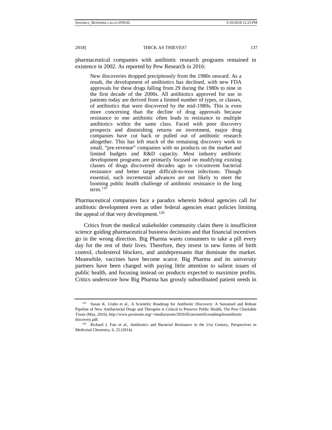pharmaceutical companies with antibiotic research programs remained in existence in 2002. As reported by Pew Research in 2016:

New discoveries dropped precipitously from the 1980s onward. As a result, the development of antibiotics has declined, with new FDA approvals for these drugs falling from 29 during the 1980s to nine in the first decade of the 2000s. All antibiotics approved for use in patients today are derived from a limited number of types, or classes, of antibiotics that were discovered by the mid-1980s. This is even more concerning than the decline of drug approvals because resistance to one antibiotic often leads to resistance to multiple antibiotics within the same class. Faced with poor discovery prospects and diminishing returns on investment, major drug companies have cut back or pulled out of antibiotic research altogether. This has left much of the remaining discovery work to small, "pre-revenue" companies with no products on the market and limited budgets and R&D capacity. Most industry antibiotic development programs are primarily focused on modifying existing classes of drugs discovered decades ago to circumvent bacterial resistance and better target difficult-to-treat infections. Though essential, such incremental advances are not likely to meet the looming public health challenge of antibiotic resistance in the long term. $119$ 

Pharmaceutical companies face a paradox wherein federal agencies call for antibiotic development even as other federal agencies enact policies limiting the appeal of that very development.<sup>[120](#page-25-1)</sup>

Critics from the medical stakeholder community claim there is insufficient science guiding pharmaceutical business decisions and that financial incentives go in the wrong direction. Big Pharma wants consumers to take a pill every day for the rest of their lives. Therefore, they invest in new forms of birth control, cholesterol blockers, and antidepressants that dominate the market. Meanwhile, vaccines have become scarce. Big Pharma and its university partners have been charged with paying little attention to salient issues of public health, and focusing instead on products expected to maximize profits. Critics underscore how Big Pharma has grossly subordinated patient needs in

<span id="page-25-0"></span><sup>119</sup> Susan K. Urahn et al., A Scientific Roadmap for Antibiotic Discovery: A Sustained and Robust Pipeline of New Antibacterial Drugs and Therapies is Critical to Preserve Public Health, The Pew Charitable Trusts (May, 2016), http://www.pewtrusts.org/~/media/assets/2016/05/ascientificroadmapforantibiotic discovery.pdf.

<span id="page-25-1"></span><sup>120</sup> Richard J. Fair et al., Antibiotics and Bacterial Resistance in the 21st Century, Perspectives in Medicinal Chemistry, 6, 25 (2014).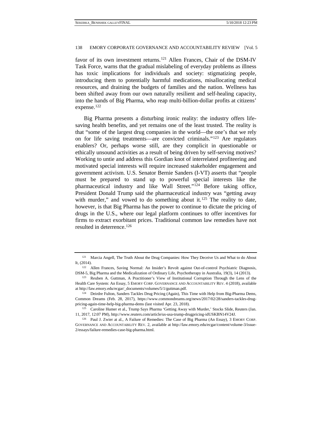favor of its own investment returns.<sup>[121](#page-26-0)</sup> Allen Frances, Chair of the DSM-IV Task Force, warns that the gradual mislabeling of everyday problems as illness has toxic implications for individuals and society: stigmatizing people, introducing them to potentially harmful medications, misallocating medical resources, and draining the budgets of families and the nation. Wellness has been shifted away from our own naturally resilient and self-healing capacity, into the hands of Big Pharma, who reap multi-billion-dollar profits at citizens' expense.<sup>[122](#page-26-1)</sup>

Big Pharma presents a disturbing ironic reality: the industry offers lifesaving health benefits, and yet remains one of the least trusted. The reality is that "some of the largest drug companies in the world—the one's that we rely on for life saving treatments—are convicted criminals."[123](#page-26-2) Are regulators enablers? Or, perhaps worse still, are they complicit in questionable or ethically unsound activities as a result of being driven by self-serving motives? Working to untie and address this Gordian knot of interrelated profiteering and motivated special interests will require increased stakeholder engagement and government activism. U.S. Senator Bernie Sanders (I-VT) asserts that "people must be prepared to stand up to powerful special interests like the pharmaceutical industry and like Wall Street."[124](#page-26-3) Before taking office, President Donald Trump said the pharmaceutical industry was "getting away with murder," and vowed to do something about it.<sup>[125](#page-26-4)</sup> The reality to date, however, is that Big Pharma has the power to continue to dictate the pricing of drugs in the U.S., where our legal platform continues to offer incentives for firms to extract exorbitant prices. Traditional common law remedies have not resulted in deterrence[.126](#page-26-5)

<span id="page-26-0"></span><sup>&</sup>lt;sup>121</sup> Marcia Angell, The Truth About the Drug Companies: How They Deceive Us and What to do About It, (2014). 122 Allen Frances, Saving Normal: An Insider's Revolt against Out-of-control Psychiatric Diagnosis,

<span id="page-26-1"></span>DSM-5, Big Pharma and the Medicalization of Ordinary Life, Psychotherapy in Australia, 19(3), 14 (2013).<br><sup>123</sup> Reuben A. Guttman, A Practitioner's View of Institutional Corruption Through the Lens of the

<span id="page-26-2"></span>Health Care System: An Essay, 5 EMORY CORP. GOVERNANCE AND ACCOUNTABILITY REV. 4 (2018), available at http://law.emory.edu/ecgar/\_documents/volumes/5/1/guttman.pdf.

<span id="page-26-3"></span><sup>&</sup>lt;sup>124</sup> Deirdre Fulton, Sanders Tackles Drug Pricing (Again), This Time with Help from Big-Pharma Dems, Common Dreams (Feb. 28, 2017), https://www.commondreams.org/news/2017/02/28/sanders-tackles-drugpricing-again-time-help-big-pharma-dems (last visited Apr. 23, 2018).<br><sup>125</sup> Caroline Humer et al., Trump Says Pharma 'Getting Away with Murder,' Stocks Slide, Reuters (Jan.

<span id="page-26-4"></span><sup>11, 2017, 12:07</sup> PM), http://www.reuters.com/article/us-usa-trump-drugpricing-idUSKBN14V24J. 126 Paul J. Zwier at al., A Failure of Remedies: The Case of Big Pharma (An Essay), 3 EMORY CORP.

<span id="page-26-5"></span>GOVERNANCE AND ACCOUNTABILITY REV. 2, available at http://law.emory.edu/ecgar/content/volume-3/issue-2/essays/failure-remedies-case-big-pharma.html.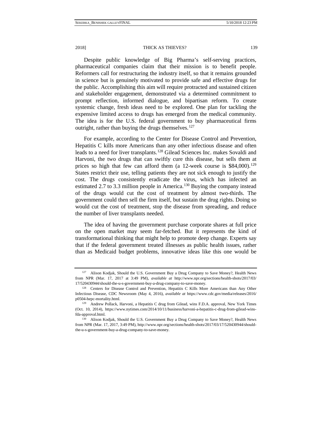2018] THICK AS THIEVES? 139

Despite public knowledge of Big Pharma's self-serving practices, pharmaceutical companies claim that their mission is to benefit people. Reformers call for restructuring the industry itself, so that it remains grounded in science but is genuinely motivated to provide safe and effective drugs for the public. Accomplishing this aim will require protracted and sustained citizen and stakeholder engagement, demonstrated via a determined commitment to prompt reflection, informed dialogue, and bipartisan reform. To create systemic change, fresh ideas need to be explored. One plan for tackling the expensive limited access to drugs has emerged from the medical community. The idea is for the U.S. federal government to buy pharmaceutical firms outright, rather than buying the drugs themselves.<sup>[127](#page-27-0)</sup>

For example, according to the Center for Disease Control and Prevention, Hepatitis C [kills more Americans](https://www.cdc.gov/media/releases/2016/p0504-hepc-mortality.html) than any other infectious disease and often leads to a need for liver transplants.<sup>[128](#page-27-1)</sup> Gilead Sciences Inc. makes Sovaldi and Harvoni, the two drugs that can swiftly cure this disease, but sells them at prices so high that few can afford them (a 12-week course is  $$84,000$ ).<sup>129</sup> States restrict their use, telling patients they are not sick enough to justify the cost. The drugs consistently eradicate the virus, which has infected an estimated 2.7 to 3.3 million people in America.<sup>[130](#page-27-3)</sup> Buying the company instead of the drugs would cut the cost of treatment by almost two-thirds. The government could then sell the firm itself, but sustain the drug rights. Doing so would cut the cost of treatment, stop the disease from spreading, and reduce the number of liver transplants needed.

The idea of having the government purchase corporate shares at full price on the open market may seem far-fetched. But it represents the kind of transformational thinking that might help to promote deep change. Experts say that if the federal government treated illnesses as public health issues, rather than as Medicaid budget problems, innovative ideas like this one would be

<span id="page-27-0"></span>Alison Kodjak, Should the U.S. Government Buy a Drug Company to Save Money?, Health News from NPR (Mar. 17, 2017 at 3:49 PM), *available at* http://www.npr.org/sections/health-shots/2017/03/ 17/520430944/should-the-u-s-government-buy-a-drug-company-to-save-money. 128 Centers for Disease Control and Prevention, Hepatitis C Kills More Americans than Any Other

<span id="page-27-1"></span>Infectious Disease, CDC Newsroom (May 4, 2016), *available at* https://www.cdc.gov/media/releases/2016/ p0504-hepc-mortality.html. 129 Andrew Pollack, Harvoni, a Hepatitis C drug from Gilead, wins F.D.A. approval, New York Times

<span id="page-27-2"></span><sup>(</sup>Oct. 10, 2014), https://www.nytimes.com/2014/10/11/business/harvoni-a-hepatitis-c-drug-from-gilead-winsfda-approval.html.

<span id="page-27-3"></span><sup>130</sup> Alison Kodjak, Should the U.S. Government Buy a Drug Company to Save Money?, Health News from NPR (Mar. 17, 2017, 3:49 PM), http://www.npr.org/sections/health-shots/2017/03/17/520430944/shouldthe-u-s-government-buy-a-drug-company-to-save-money.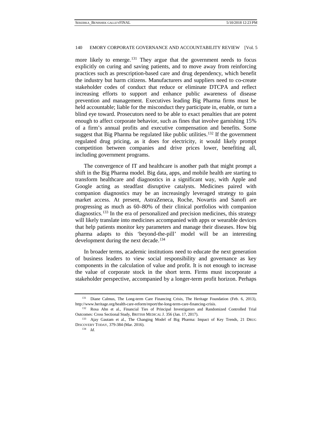more likely to emerge.<sup>[131](#page-28-0)</sup> They argue that the government needs to focus explicitly on curing and saving patients, and to move away from reinforcing practices such as prescription-based care and drug dependency, which benefit the industry but harm citizens. Manufacturers and suppliers need to co-create stakeholder codes of conduct that reduce or eliminate DTCPA and reflect increasing efforts to support and enhance public awareness of disease prevention and management. Executives leading Big Pharma firms must be held accountable; liable for the misconduct they participate in, enable, or turn a blind eye toward. Prosecutors need to be able to exact penalties that are potent enough to affect corporate behavior, such as fines that involve garnishing 15% of a firm's annual profits and executive compensation and benefits. Some suggest that Big Pharma be regulated like public utilities.<sup>[132](#page-28-1)</sup> If the government regulated drug pricing, as it does for electricity, it would likely prompt competition between companies and drive prices lower, benefiting all, including government programs.

The convergence of IT and healthcare is another path that might prompt a shift in the Big Pharma model. Big data, apps, and mobile health are starting to transform healthcare and diagnostics in a significant way, with Apple and Google acting as steadfast disruptive catalysts. Medicines paired with companion diagnostics may be an increasingly leveraged strategy to gain market access. At present, AstraZeneca, Roche, Novartis and Sanofi are progressing as much as 60–80% of their clinical portfolios with companion diagnostics.[133](#page-28-2) In the era of personalized and precision medicines, this strategy will likely translate into medicines accompanied with apps or wearable devices that help patients monitor key parameters and manage their diseases. How big pharma adapts to this 'beyond-the-pill' model will be an interesting development during the next decade.<sup>[134](#page-28-3)</sup>

In broader terms, academic institutions need to educate the next generation of business leaders to view social responsibility and governance as key components in the calculation of value and profit. It is not enough to increase the value of corporate stock in the short term. Firms must incorporate a stakeholder perspective, accompanied by a longer-term profit horizon. Perhaps

<span id="page-28-0"></span><sup>&</sup>lt;sup>131</sup> Diane Calmus, The Long-term Care Financing Crisis, The Heritage Foundation (Feb. 6, 2013), http://www.heritage.org/health-care-reform/report/the-long-term-care-financing-crisis.

<span id="page-28-1"></span><sup>132</sup> Rosa Ahn et al., Financial Ties of Principal Investigators and Randomized Controlled Trial Outcomes: Cross Sectional Study, BRITISH MEDICAL J. 356 (Jan. 17, 2017). 133 Ajay Gautam et al., The Changing Model of Big Pharma: Impact of Key Trends, 21 DRUG

<span id="page-28-3"></span><span id="page-28-2"></span>DISCOVERY TODAY, 379-384 (Mar. 2016). 134 *Id.*